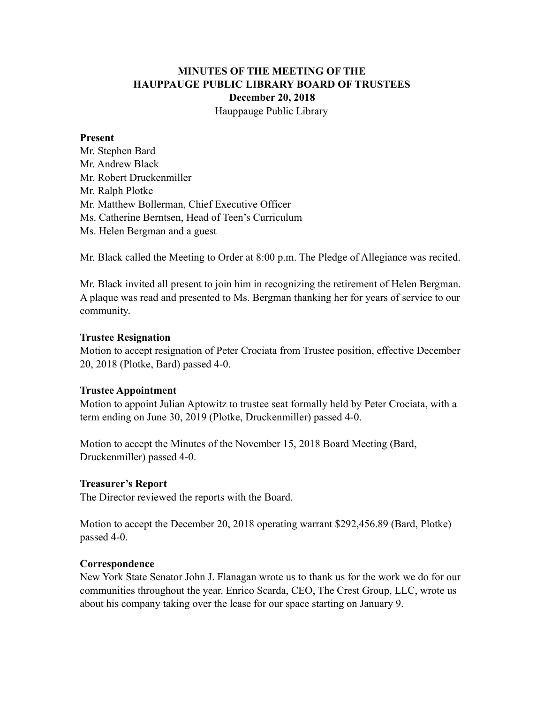# **MINUTES OF THE MEETING OF THE HAUPPAUGE PUBLIC LIBRARY BOARD OF TRUSTEES December 20, 2018** Hauppauge Public Library

#### **Present**

Mr. Stephen Bard Mr. Andrew Black Mr. Robert Druckenmiller Mr. Ralph Plotke Mr. Matthew Bollerman, Chief Executive Officer Ms. Catherine Berntsen, Head of Teen's Curriculum Ms. Helen Bergman and a guest

Mr. Black called the Meeting to Order at 8:00 p.m. The Pledge of Allegiance was recited.

Mr. Black invited all present to join him in recognizing the retirement of Helen Bergman. A plaque was read and presented to Ms. Bergman thanking her for years of service to our community.

#### **Trustee Resignation**

Motion to accept resignation of Peter Crociata from Trustee position, effective December 20, 2018 (Plotke, Bard) passed 4-0.

### **Trustee Appointment**

Motion to appoint Julian Aptowitz to trustee seat formally held by Peter Crociata, with a term ending on June 30, 2019 (Plotke, Druckenmiller) passed 4-0.

Motion to accept the Minutes of the November 15, 2018 Board Meeting (Bard, Druckenmiller) passed 4-0.

### **Treasurer's Report**

The Director reviewed the reports with the Board.

Motion to accept the December 20, 2018 operating warrant \$292,456.89 (Bard, Plotke) passed 4-0.

### **Correspondence**

New York State Senator John J. Flanagan wrote us to thank us for the work we do for our communities throughout the year. Enrico Scarda, CEO, The Crest Group, LLC, wrote us about his company taking over the lease for our space starting on January 9.